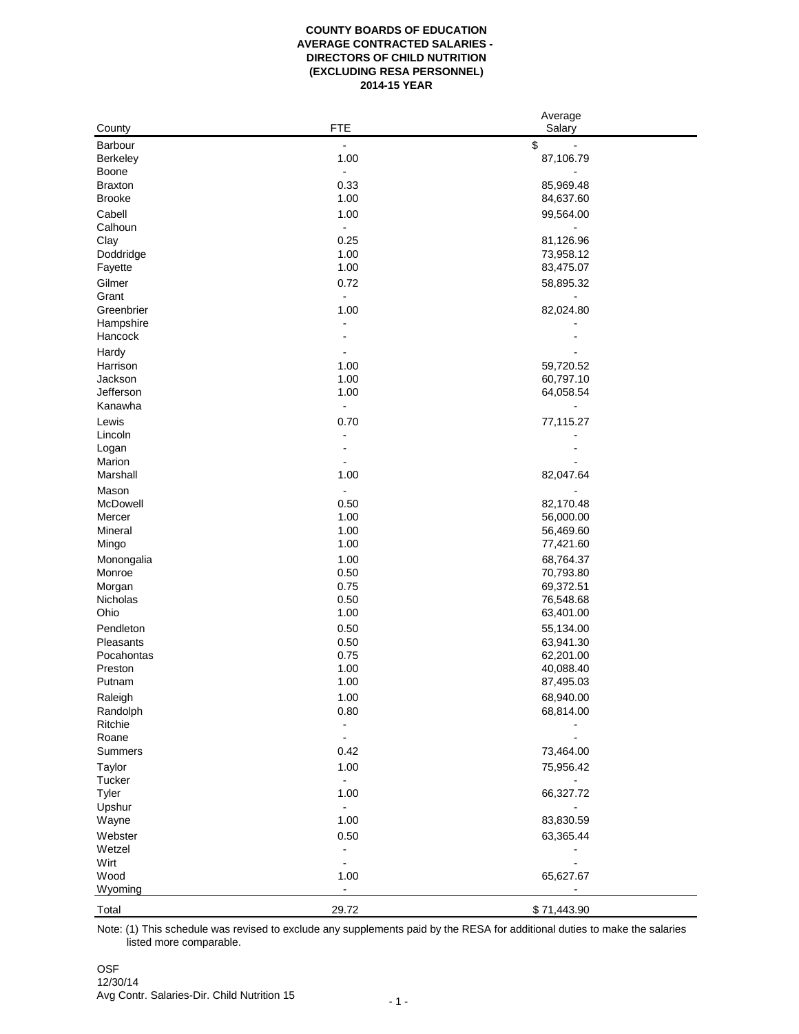## **COUNTY BOARDS OF EDUCATION AVERAGE CONTRACTED SALARIES - DIRECTORS OF CHILD NUTRITION (EXCLUDING RESA PERSONNEL) 2014-15 YEAR**

|                |                              | Average     |  |
|----------------|------------------------------|-------------|--|
| County         | <b>FTE</b>                   | Salary      |  |
| Barbour        | $\qquad \qquad \blacksquare$ | \$          |  |
| Berkeley       | 1.00                         | 87,106.79   |  |
| Boone          | $\overline{\phantom{a}}$     |             |  |
| <b>Braxton</b> | 0.33                         | 85,969.48   |  |
| <b>Brooke</b>  | 1.00                         | 84,637.60   |  |
| Cabell         | 1.00                         | 99,564.00   |  |
| Calhoun        | $\blacksquare$               |             |  |
| Clay           | 0.25                         | 81,126.96   |  |
| Doddridge      | 1.00                         | 73,958.12   |  |
| Fayette        | 1.00                         | 83,475.07   |  |
| Gilmer         | 0.72                         | 58,895.32   |  |
| Grant          | $\blacksquare$               |             |  |
| Greenbrier     | 1.00                         | 82,024.80   |  |
| Hampshire      |                              |             |  |
| Hancock        |                              |             |  |
| Hardy          |                              |             |  |
| Harrison       | 1.00                         | 59,720.52   |  |
| Jackson        | 1.00                         | 60,797.10   |  |
| Jefferson      | 1.00                         | 64,058.54   |  |
| Kanawha        | $\frac{1}{2}$                |             |  |
| Lewis          | 0.70                         | 77,115.27   |  |
| Lincoln        | $\overline{a}$               |             |  |
| Logan          |                              |             |  |
| Marion         |                              |             |  |
| Marshall       | 1.00                         | 82,047.64   |  |
| Mason          | $\overline{\phantom{a}}$     |             |  |
| McDowell       | 0.50                         | 82,170.48   |  |
| Mercer         | 1.00                         | 56,000.00   |  |
| Mineral        | 1.00                         | 56,469.60   |  |
| Mingo          | 1.00                         | 77,421.60   |  |
| Monongalia     | 1.00                         | 68,764.37   |  |
| Monroe         | 0.50                         | 70,793.80   |  |
| Morgan         | 0.75                         | 69,372.51   |  |
| Nicholas       | 0.50                         | 76,548.68   |  |
| Ohio           | 1.00                         | 63,401.00   |  |
| Pendleton      | 0.50                         | 55,134.00   |  |
| Pleasants      | 0.50                         | 63,941.30   |  |
| Pocahontas     | 0.75                         | 62,201.00   |  |
| Preston        | 1.00                         | 40,088.40   |  |
| Putnam         | 1.00                         | 87,495.03   |  |
| Raleigh        | 1.00                         | 68,940.00   |  |
| Randolph       | 0.80                         | 68,814.00   |  |
| Ritchie        | $\blacksquare$               |             |  |
| Roane          | $\blacksquare$               |             |  |
| Summers        | 0.42                         | 73,464.00   |  |
| Taylor         | 1.00                         | 75,956.42   |  |
| Tucker         | $\blacksquare$               | -           |  |
| Tyler          | 1.00                         | 66,327.72   |  |
| Upshur         | $\overline{\phantom{0}}$     |             |  |
| Wayne          | 1.00                         | 83,830.59   |  |
| Webster        | 0.50                         | 63,365.44   |  |
| Wetzel         | $\frac{1}{2}$                |             |  |
| Wirt           | $\overline{\phantom{0}}$     |             |  |
| Wood           | 1.00                         | 65,627.67   |  |
| Wyoming        | $\overline{\phantom{0}}$     |             |  |
|                |                              |             |  |
| Total          | 29.72                        | \$71,443.90 |  |

Note: (1) This schedule was revised to exclude any supplements paid by the RESA for additional duties to make the salaries listed more comparable.